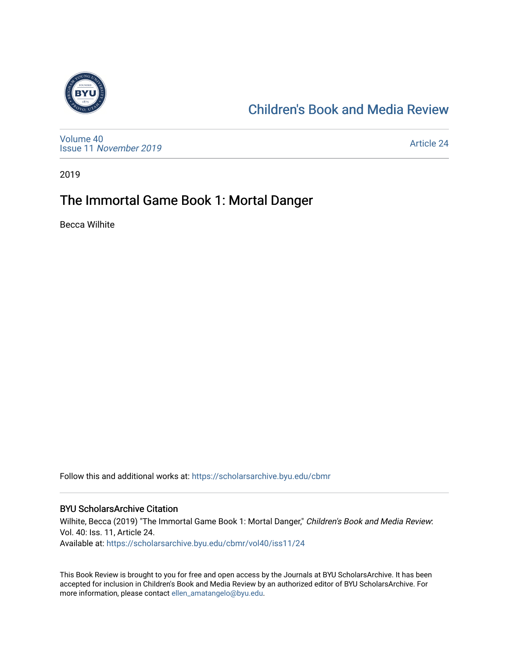

## [Children's Book and Media Review](https://scholarsarchive.byu.edu/cbmr)

[Volume 40](https://scholarsarchive.byu.edu/cbmr/vol40) Issue 11 [November 2019](https://scholarsarchive.byu.edu/cbmr/vol40/iss11) 

[Article 24](https://scholarsarchive.byu.edu/cbmr/vol40/iss11/24) 

2019

## The Immortal Game Book 1: Mortal Danger

Becca Wilhite

Follow this and additional works at: [https://scholarsarchive.byu.edu/cbmr](https://scholarsarchive.byu.edu/cbmr?utm_source=scholarsarchive.byu.edu%2Fcbmr%2Fvol40%2Fiss11%2F24&utm_medium=PDF&utm_campaign=PDFCoverPages) 

#### BYU ScholarsArchive Citation

Wilhite, Becca (2019) "The Immortal Game Book 1: Mortal Danger," Children's Book and Media Review: Vol. 40: Iss. 11, Article 24. Available at: [https://scholarsarchive.byu.edu/cbmr/vol40/iss11/24](https://scholarsarchive.byu.edu/cbmr/vol40/iss11/24?utm_source=scholarsarchive.byu.edu%2Fcbmr%2Fvol40%2Fiss11%2F24&utm_medium=PDF&utm_campaign=PDFCoverPages) 

This Book Review is brought to you for free and open access by the Journals at BYU ScholarsArchive. It has been accepted for inclusion in Children's Book and Media Review by an authorized editor of BYU ScholarsArchive. For more information, please contact [ellen\\_amatangelo@byu.edu.](mailto:ellen_amatangelo@byu.edu)